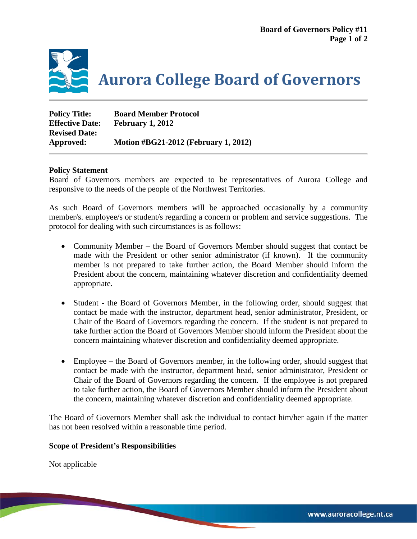

| <b>Policy Title:</b>   | <b>Board Member Protocol</b>                |
|------------------------|---------------------------------------------|
| <b>Effective Date:</b> | February 1, 2012                            |
| <b>Revised Date:</b>   |                                             |
| Approved:              | <b>Motion #BG21-2012 (February 1, 2012)</b> |

## **Policy Statement**

Board of Governors members are expected to be representatives of Aurora College and responsive to the needs of the people of the Northwest Territories.

As such Board of Governors members will be approached occasionally by a community member/s. employee/s or student/s regarding a concern or problem and service suggestions. The protocol for dealing with such circumstances is as follows:

- Community Member the Board of Governors Member should suggest that contact be made with the President or other senior administrator (if known). If the community member is not prepared to take further action, the Board Member should inform the President about the concern, maintaining whatever discretion and confidentiality deemed appropriate.
- Student the Board of Governors Member, in the following order, should suggest that contact be made with the instructor, department head, senior administrator, President, or Chair of the Board of Governors regarding the concern. If the student is not prepared to take further action the Board of Governors Member should inform the President about the concern maintaining whatever discretion and confidentiality deemed appropriate.
- Employee the Board of Governors member, in the following order, should suggest that contact be made with the instructor, department head, senior administrator, President or Chair of the Board of Governors regarding the concern. If the employee is not prepared to take further action, the Board of Governors Member should inform the President about the concern, maintaining whatever discretion and confidentiality deemed appropriate.

The Board of Governors Member shall ask the individual to contact him/her again if the matter has not been resolved within a reasonable time period.

## **Scope of President's Responsibilities**

Not applicable